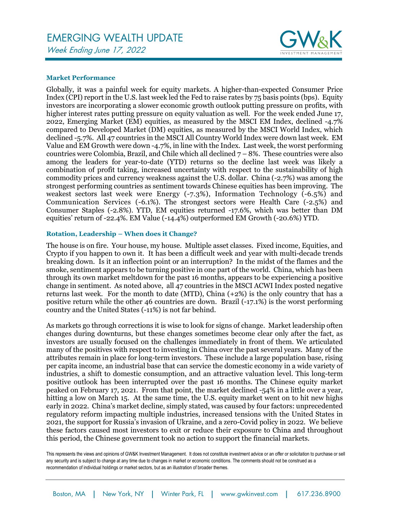# EMERGING WEALTH UPDATE Week Ending June 17, 2022



## **Market Performance**

Globally, it was a painful week for equity markets. A higher-than-expected Consumer Price Index (CPI) report in the U.S. last week led the Fed to raise rates by 75 basis points (bps). Equity investors are incorporating a slower economic growth outlook putting pressure on profits, with higher interest rates putting pressure on equity valuation as well. For the week ended June 17, 2022, Emerging Market (EM) equities, as measured by the MSCI EM Index, declined -4.7% compared to Developed Market (DM) equities, as measured by the MSCI World Index, which declined -5.7%. All 47 countries in the MSCI All Country World Index were down last week. EM Value and EM Growth were down -4.7%, in line with the Index. Last week, the worst performing countries were Colombia, Brazil, and Chile which all declined 7 – 8%. These countries were also among the leaders for year-to-date (YTD) returns so the decline last week was likely a combination of profit taking, increased uncertainty with respect to the sustainability of high commodity prices and currency weakness against the U.S. dollar. China (-2.7%) was among the strongest performing countries as sentiment towards Chinese equities has been improving. The weakest sectors last week were Energy (-7.3%), Information Technology (-6.5%) and Communication Services (-6.1%). The strongest sectors were Health Care (-2.5%) and Consumer Staples (-2.8%). YTD, EM equities returned -17.6%, which was better than DM equities' return of -22.4%. EM Value (-14.4%) outperformed EM Growth (-20.6%) YTD.

## **Rotation, Leadership – When does it Change?**

The house is on fire. Your house, my house. Multiple asset classes. Fixed income, Equities, and Crypto if you happen to own it. It has been a difficult week and year with multi-decade trends breaking down. Is it an inflection point or an interruption? In the midst of the flames and the smoke, sentiment appears to be turning positive in one part of the world. China, which has been through its own market meltdown for the past 16 months, appears to be experiencing a positive change in sentiment. As noted above, all 47 countries in the MSCI ACWI Index posted negative returns last week. For the month to date (MTD), China (+2%) is the only country that has a positive return while the other 46 countries are down. Brazil (-17.1%) is the worst performing country and the United States (-11%) is not far behind.

As markets go through corrections it is wise to look for signs of change. Market leadership often changes during downturns, but these changes sometimes become clear only after the fact, as investors are usually focused on the challenges immediately in front of them. We articulated many of the positives with respect to investing in China over the past several years. Many of the attributes remain in place for long-term investors. These include a large population base, rising per capita income, an industrial base that can service the domestic economy in a wide variety of industries, a shift to domestic consumption, and an attractive valuation level. This long-term positive outlook has been interrupted over the past 16 months. The Chinese equity market peaked on February 17, 2021. From that point, the market declined -54% in a little over a year, hitting a low on March 15. At the same time, the U.S. equity market went on to hit new highs early in 2022. China's market decline, simply stated, was caused by four factors: unprecedented regulatory reform impacting multiple industries, increased tensions with the United States in 2021, the support for Russia's invasion of Ukraine, and a zero-Covid policy in 2022. We believe these factors caused most investors to exit or reduce their exposure to China and throughout this period, the Chinese government took no action to support the financial markets.

This represents the views and opinions of GW&K Investment Management. It does not constitute investment advice or an offer or solicitation to purchase or sell any security and is subject to change at any time due to changes in market or economic conditions. The comments should not be construed as a recommendation of individual holdings or market sectors, but as an illustration of broader themes.